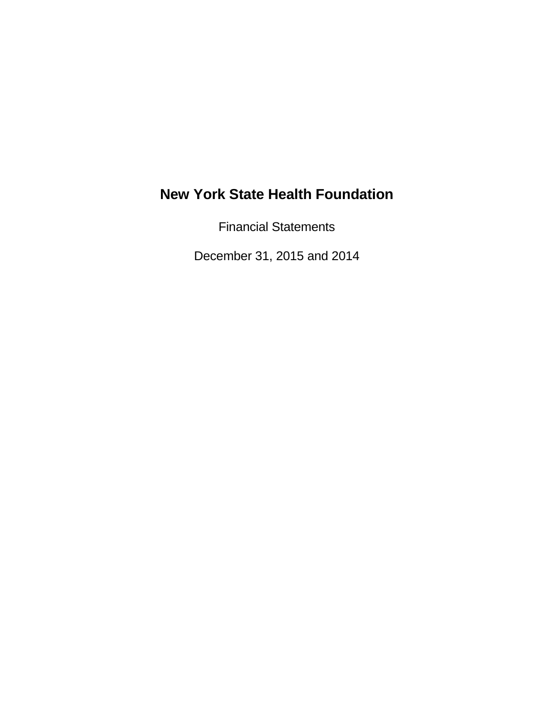Financial Statements

December 31, 2015 and 2014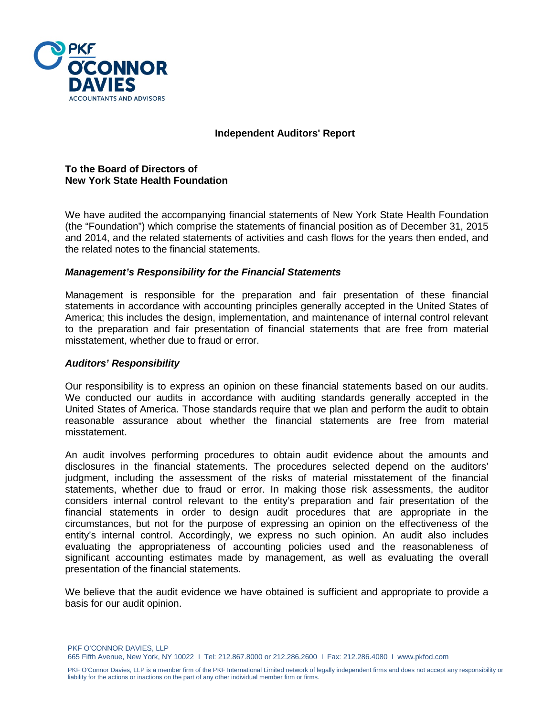

#### **Independent Auditors' Report**

#### **To the Board of Directors of New York State Health Foundation**

We have audited the accompanying financial statements of New York State Health Foundation (the "Foundation") which comprise the statements of financial position as of December 31, 2015 and 2014, and the related statements of activities and cash flows for the years then ended, and the related notes to the financial statements.

#### *Management's Responsibility for the Financial Statements*

Management is responsible for the preparation and fair presentation of these financial statements in accordance with accounting principles generally accepted in the United States of America; this includes the design, implementation, and maintenance of internal control relevant to the preparation and fair presentation of financial statements that are free from material misstatement, whether due to fraud or error.

#### *Auditors' Responsibility*

Our responsibility is to express an opinion on these financial statements based on our audits. We conducted our audits in accordance with auditing standards generally accepted in the United States of America. Those standards require that we plan and perform the audit to obtain reasonable assurance about whether the financial statements are free from material misstatement.

An audit involves performing procedures to obtain audit evidence about the amounts and disclosures in the financial statements. The procedures selected depend on the auditors' judgment, including the assessment of the risks of material misstatement of the financial statements, whether due to fraud or error. In making those risk assessments, the auditor considers internal control relevant to the entity's preparation and fair presentation of the financial statements in order to design audit procedures that are appropriate in the circumstances, but not for the purpose of expressing an opinion on the effectiveness of the entity's internal control. Accordingly, we express no such opinion. An audit also includes evaluating the appropriateness of accounting policies used and the reasonableness of significant accounting estimates made by management, as well as evaluating the overall presentation of the financial statements.

We believe that the audit evidence we have obtained is sufficient and appropriate to provide a basis for our audit opinion.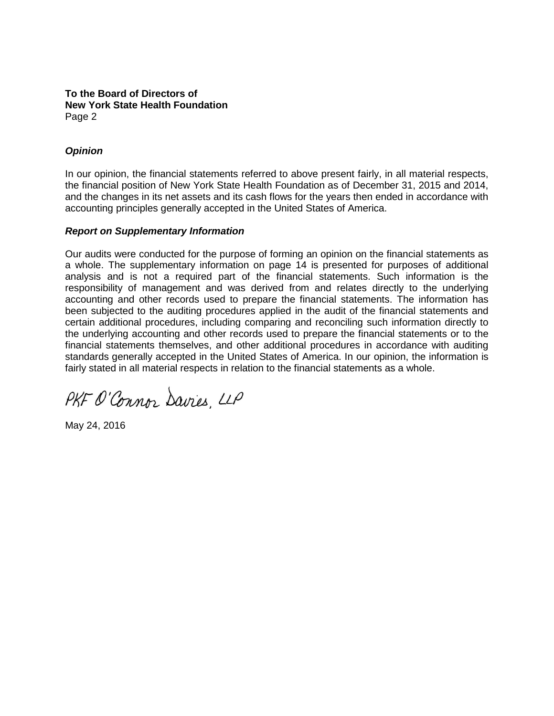#### **To the Board of Directors of New York State Health Foundation**  Page 2

### *Opinion*

In our opinion, the financial statements referred to above present fairly, in all material respects, the financial position of New York State Health Foundation as of December 31, 2015 and 2014, and the changes in its net assets and its cash flows for the years then ended in accordance with accounting principles generally accepted in the United States of America.

#### *Report on Supplementary Information*

Our audits were conducted for the purpose of forming an opinion on the financial statements as a whole. The supplementary information on page 14 is presented for purposes of additional analysis and is not a required part of the financial statements. Such information is the responsibility of management and was derived from and relates directly to the underlying accounting and other records used to prepare the financial statements. The information has been subjected to the auditing procedures applied in the audit of the financial statements and certain additional procedures, including comparing and reconciling such information directly to the underlying accounting and other records used to prepare the financial statements or to the financial statements themselves, and other additional procedures in accordance with auditing standards generally accepted in the United States of America. In our opinion, the information is fairly stated in all material respects in relation to the financial statements as a whole.

PKF O'Connor Davies, LLP

May 24, 2016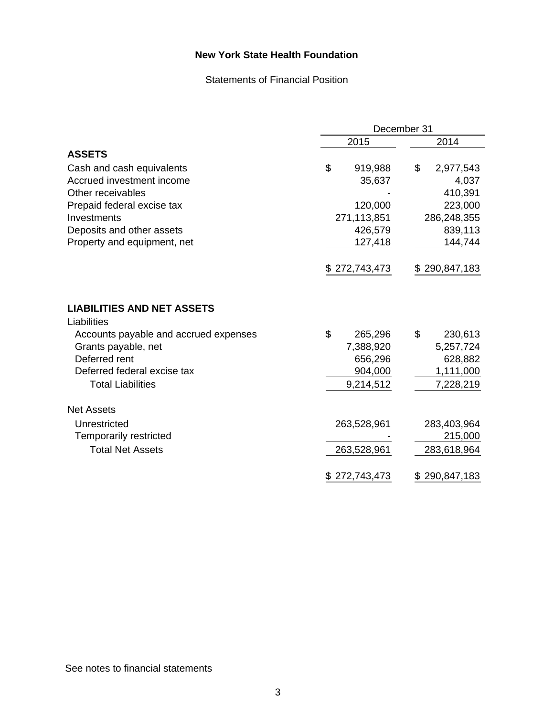Statements of Financial Position

|                                                  |                   | December 31       |
|--------------------------------------------------|-------------------|-------------------|
|                                                  | 2015              | 2014              |
| <b>ASSETS</b>                                    |                   |                   |
| Cash and cash equivalents                        | \$<br>919,988     | \$<br>2,977,543   |
| Accrued investment income                        | 35,637            | 4,037             |
| Other receivables                                |                   | 410,391           |
| Prepaid federal excise tax                       | 120,000           | 223,000           |
| Investments                                      | 271,113,851       | 286,248,355       |
| Deposits and other assets                        | 426,579           | 839,113           |
| Property and equipment, net                      | 127,418           | 144,744           |
|                                                  | \$272,743,473     | \$290,847,183     |
| <b>LIABILITIES AND NET ASSETS</b><br>Liabilities |                   |                   |
| Accounts payable and accrued expenses            | \$<br>265,296     | \$<br>230,613     |
| Grants payable, net                              | 7,388,920         | 5,257,724         |
| Deferred rent                                    | 656,296           | 628,882           |
| Deferred federal excise tax                      | 904,000           | 1,111,000         |
| <b>Total Liabilities</b>                         | 9,214,512         | 7,228,219         |
| <b>Net Assets</b>                                |                   |                   |
| Unrestricted                                     | 263,528,961       | 283,403,964       |
| <b>Temporarily restricted</b>                    |                   | 215,000           |
| <b>Total Net Assets</b>                          | 263,528,961       | 283,618,964       |
|                                                  | 272,743,473<br>\$ | 290,847,183<br>\$ |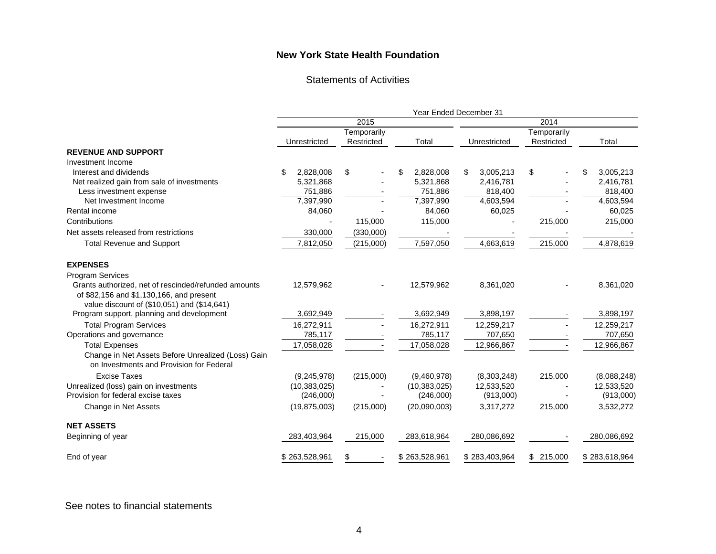Statements of Activities

|                                                                                                | <b>Year Ended December 31</b> |            |                 |                |             |                 |  |
|------------------------------------------------------------------------------------------------|-------------------------------|------------|-----------------|----------------|-------------|-----------------|--|
|                                                                                                | 2015                          |            |                 | 2014           |             |                 |  |
|                                                                                                | Temporarily                   |            |                 |                | Temporarily |                 |  |
|                                                                                                | Unrestricted                  | Restricted | Total           | Unrestricted   | Restricted  | Total           |  |
| <b>REVENUE AND SUPPORT</b>                                                                     |                               |            |                 |                |             |                 |  |
| Investment Income                                                                              |                               |            |                 |                |             |                 |  |
| Interest and dividends                                                                         | 2,828,008<br>\$               | \$         | 2,828,008<br>S. | 3,005,213<br>S | \$          | 3,005,213<br>\$ |  |
| Net realized gain from sale of investments                                                     | 5,321,868                     |            | 5,321,868       | 2,416,781      |             | 2,416,781       |  |
| Less investment expense                                                                        | 751,886                       |            | 751,886         | 818,400        |             | 818,400         |  |
| Net Investment Income                                                                          | 7,397,990                     |            | 7,397,990       | 4,603,594      |             | 4,603,594       |  |
| Rental income                                                                                  | 84,060                        |            | 84,060          | 60,025         |             | 60,025          |  |
| Contributions                                                                                  |                               | 115,000    | 115,000         |                | 215,000     | 215,000         |  |
| Net assets released from restrictions                                                          | 330,000                       | (330,000)  |                 |                |             |                 |  |
| <b>Total Revenue and Support</b>                                                               | 7,812,050                     | (215,000)  | 7,597,050       | 4,663,619      | 215,000     | 4,878,619       |  |
| <b>EXPENSES</b>                                                                                |                               |            |                 |                |             |                 |  |
| <b>Program Services</b>                                                                        |                               |            |                 |                |             |                 |  |
| Grants authorized, net of rescinded/refunded amounts                                           | 12,579,962                    |            | 12,579,962      | 8,361,020      |             | 8,361,020       |  |
| of \$82,156 and \$1,130,166, and present                                                       |                               |            |                 |                |             |                 |  |
| value discount of (\$10,051) and (\$14,641)                                                    |                               |            |                 |                |             |                 |  |
| Program support, planning and development                                                      | 3,692,949                     |            | 3,692,949       | 3,898,197      |             | 3,898,197       |  |
| <b>Total Program Services</b>                                                                  | 16,272,911                    |            | 16,272,911      | 12,259,217     |             | 12,259,217      |  |
| Operations and governance                                                                      | 785,117                       |            | 785,117         | 707,650        |             | 707,650         |  |
| <b>Total Expenses</b>                                                                          | 17,058,028                    |            | 17,058,028      | 12,966,867     |             | 12,966,867      |  |
| Change in Net Assets Before Unrealized (Loss) Gain<br>on Investments and Provision for Federal |                               |            |                 |                |             |                 |  |
| <b>Excise Taxes</b>                                                                            | (9,245,978)                   | (215,000)  | (9,460,978)     | (8,303,248)    | 215,000     | (8,088,248)     |  |
| Unrealized (loss) gain on investments                                                          | (10, 383, 025)                |            | (10, 383, 025)  | 12,533,520     |             | 12,533,520      |  |
| Provision for federal excise taxes                                                             | (246,000)                     |            | (246,000)       | (913,000)      |             | (913,000)       |  |
| Change in Net Assets                                                                           | (19, 875, 003)                | (215,000)  | (20,090,003)    | 3,317,272      | 215,000     | 3,532,272       |  |
| <b>NET ASSETS</b>                                                                              |                               |            |                 |                |             |                 |  |
| Beginning of year                                                                              | 283,403,964                   | 215,000    | 283,618,964     | 280,086,692    |             | 280,086,692     |  |
| End of year                                                                                    | \$263,528,961                 |            | \$263,528,961   | \$283,403,964  | \$215,000   | \$283,618,964   |  |

#### See notes to financial statements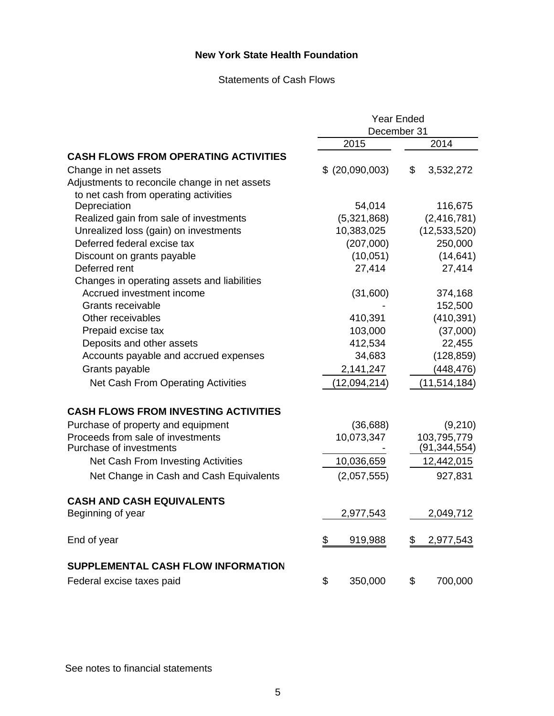#### Statements of Cash Flows

|                                               | <b>Year Ended</b> |                 |  |
|-----------------------------------------------|-------------------|-----------------|--|
|                                               | December 31       |                 |  |
|                                               | 2015              | 2014            |  |
| <b>CASH FLOWS FROM OPERATING ACTIVITIES</b>   |                   |                 |  |
| Change in net assets                          | \$ (20,090,003)   | \$<br>3,532,272 |  |
| Adjustments to reconcile change in net assets |                   |                 |  |
| to net cash from operating activities         |                   |                 |  |
| Depreciation                                  | 54,014            | 116,675         |  |
| Realized gain from sale of investments        | (5,321,868)       | (2, 416, 781)   |  |
| Unrealized loss (gain) on investments         | 10,383,025        | (12,533,520)    |  |
| Deferred federal excise tax                   | (207,000)         | 250,000         |  |
| Discount on grants payable                    | (10, 051)         | (14, 641)       |  |
| Deferred rent                                 | 27,414            | 27,414          |  |
| Changes in operating assets and liabilities   |                   |                 |  |
| Accrued investment income                     | (31,600)          | 374,168         |  |
| Grants receivable                             |                   | 152,500         |  |
| Other receivables                             | 410,391           | (410, 391)      |  |
| Prepaid excise tax                            | 103,000           | (37,000)        |  |
| Deposits and other assets                     | 412,534           | 22,455          |  |
| Accounts payable and accrued expenses         | 34,683            | (128, 859)      |  |
| Grants payable                                | 2,141,247         | (448, 476)      |  |
| Net Cash From Operating Activities            | (12,094,214)      | (11, 514, 184)  |  |
| <b>CASH FLOWS FROM INVESTING ACTIVITIES</b>   |                   |                 |  |
| Purchase of property and equipment            | (36, 688)         | (9,210)         |  |
| Proceeds from sale of investments             | 10,073,347        | 103,795,779     |  |
| Purchase of investments                       |                   | (91, 344, 554)  |  |
| Net Cash From Investing Activities            | 10,036,659        | 12,442,015      |  |
| Net Change in Cash and Cash Equivalents       | (2,057,555)       | 927,831         |  |
| <b>CASH AND CASH EQUIVALENTS</b>              |                   |                 |  |
| Beginning of year                             | 2,977,543         | 2,049,712       |  |
| End of year                                   | \$<br>919,988     | \$<br>2,977,543 |  |
| <b>SUPPLEMENTAL CASH FLOW INFORMATION</b>     |                   |                 |  |
| Federal excise taxes paid                     | 350,000<br>\$     | \$<br>700,000   |  |

See notes to financial statements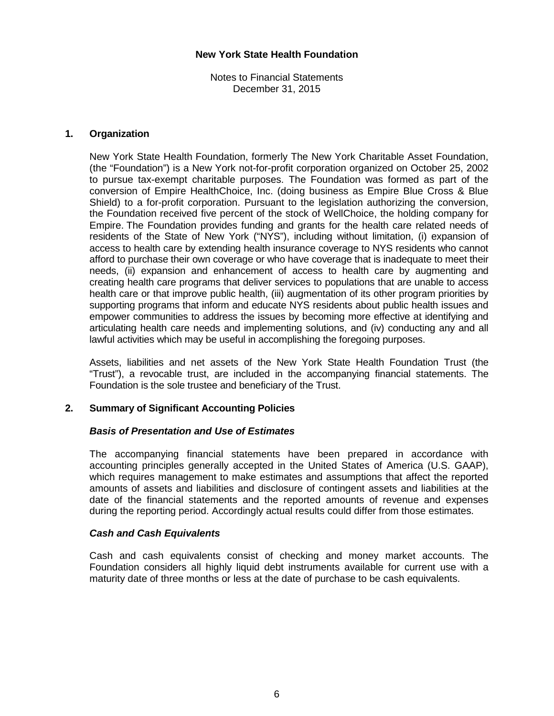Notes to Financial Statements December 31, 2015

#### **1. Organization**

New York State Health Foundation, formerly The New York Charitable Asset Foundation, (the "Foundation") is a New York not-for-profit corporation organized on October 25, 2002 to pursue tax-exempt charitable purposes. The Foundation was formed as part of the conversion of Empire HealthChoice, Inc. (doing business as Empire Blue Cross & Blue Shield) to a for-profit corporation. Pursuant to the legislation authorizing the conversion, the Foundation received five percent of the stock of WellChoice, the holding company for Empire. The Foundation provides funding and grants for the health care related needs of residents of the State of New York ("NYS"), including without limitation, (i) expansion of access to health care by extending health insurance coverage to NYS residents who cannot afford to purchase their own coverage or who have coverage that is inadequate to meet their needs, (ii) expansion and enhancement of access to health care by augmenting and creating health care programs that deliver services to populations that are unable to access health care or that improve public health, (iii) augmentation of its other program priorities by supporting programs that inform and educate NYS residents about public health issues and empower communities to address the issues by becoming more effective at identifying and articulating health care needs and implementing solutions, and (iv) conducting any and all lawful activities which may be useful in accomplishing the foregoing purposes.

Assets, liabilities and net assets of the New York State Health Foundation Trust (the "Trust"), a revocable trust, are included in the accompanying financial statements. The Foundation is the sole trustee and beneficiary of the Trust.

### **2. Summary of Significant Accounting Policies**

#### *Basis of Presentation and Use of Estimates*

The accompanying financial statements have been prepared in accordance with accounting principles generally accepted in the United States of America (U.S. GAAP), which requires management to make estimates and assumptions that affect the reported amounts of assets and liabilities and disclosure of contingent assets and liabilities at the date of the financial statements and the reported amounts of revenue and expenses during the reporting period. Accordingly actual results could differ from those estimates.

#### *Cash and Cash Equivalents*

Cash and cash equivalents consist of checking and money market accounts. The Foundation considers all highly liquid debt instruments available for current use with a maturity date of three months or less at the date of purchase to be cash equivalents.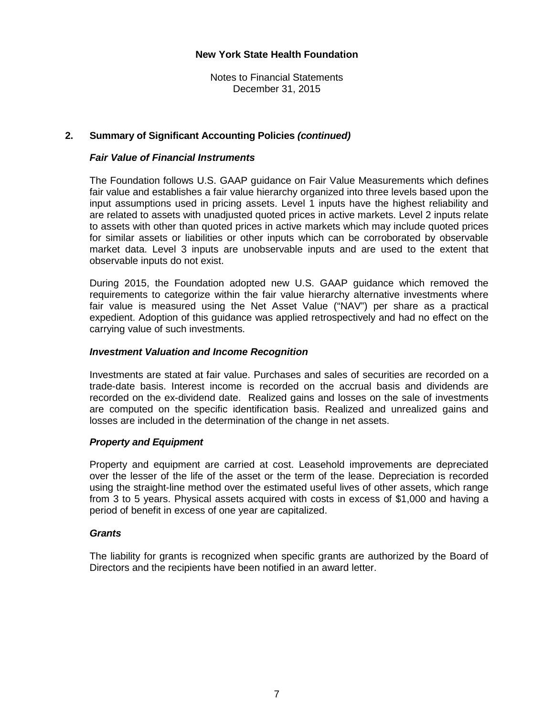Notes to Financial Statements December 31, 2015

#### **2. Summary of Significant Accounting Policies** *(continued)*

#### *Fair Value of Financial Instruments*

The Foundation follows U.S. GAAP guidance on Fair Value Measurements which defines fair value and establishes a fair value hierarchy organized into three levels based upon the input assumptions used in pricing assets. Level 1 inputs have the highest reliability and are related to assets with unadjusted quoted prices in active markets. Level 2 inputs relate to assets with other than quoted prices in active markets which may include quoted prices for similar assets or liabilities or other inputs which can be corroborated by observable market data. Level 3 inputs are unobservable inputs and are used to the extent that observable inputs do not exist.

During 2015, the Foundation adopted new U.S. GAAP guidance which removed the requirements to categorize within the fair value hierarchy alternative investments where fair value is measured using the Net Asset Value ("NAV") per share as a practical expedient. Adoption of this guidance was applied retrospectively and had no effect on the carrying value of such investments.

#### *Investment Valuation and Income Recognition*

Investments are stated at fair value. Purchases and sales of securities are recorded on a trade-date basis. Interest income is recorded on the accrual basis and dividends are recorded on the ex-dividend date. Realized gains and losses on the sale of investments are computed on the specific identification basis. Realized and unrealized gains and losses are included in the determination of the change in net assets.

#### *Property and Equipment*

Property and equipment are carried at cost. Leasehold improvements are depreciated over the lesser of the life of the asset or the term of the lease. Depreciation is recorded using the straight-line method over the estimated useful lives of other assets, which range from 3 to 5 years. Physical assets acquired with costs in excess of \$1,000 and having a period of benefit in excess of one year are capitalized.

#### *Grants*

 The liability for grants is recognized when specific grants are authorized by the Board of Directors and the recipients have been notified in an award letter.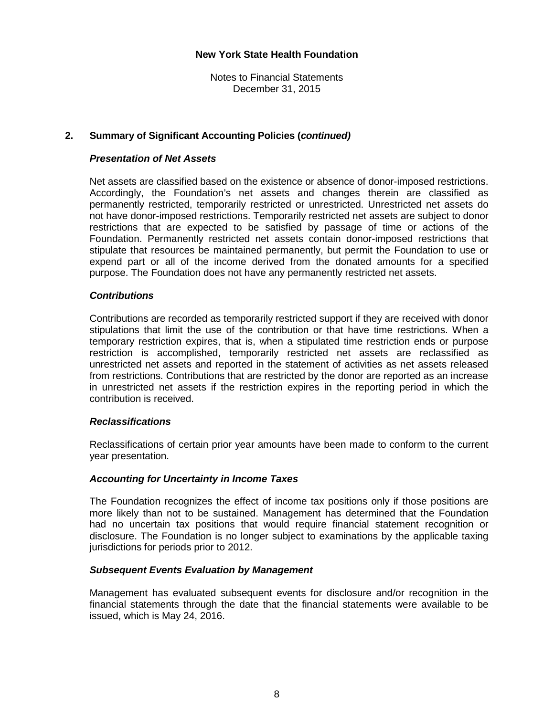Notes to Financial Statements December 31, 2015

#### **2. Summary of Significant Accounting Policies (***continued)*

#### *Presentation of Net Assets*

Net assets are classified based on the existence or absence of donor-imposed restrictions. Accordingly, the Foundation's net assets and changes therein are classified as permanently restricted, temporarily restricted or unrestricted. Unrestricted net assets do not have donor-imposed restrictions. Temporarily restricted net assets are subject to donor restrictions that are expected to be satisfied by passage of time or actions of the Foundation. Permanently restricted net assets contain donor-imposed restrictions that stipulate that resources be maintained permanently, but permit the Foundation to use or expend part or all of the income derived from the donated amounts for a specified purpose. The Foundation does not have any permanently restricted net assets.

#### *Contributions*

Contributions are recorded as temporarily restricted support if they are received with donor stipulations that limit the use of the contribution or that have time restrictions. When a temporary restriction expires, that is, when a stipulated time restriction ends or purpose restriction is accomplished, temporarily restricted net assets are reclassified as unrestricted net assets and reported in the statement of activities as net assets released from restrictions. Contributions that are restricted by the donor are reported as an increase in unrestricted net assets if the restriction expires in the reporting period in which the contribution is received.

#### *Reclassifications*

Reclassifications of certain prior year amounts have been made to conform to the current year presentation.

#### *Accounting for Uncertainty in Income Taxes*

The Foundation recognizes the effect of income tax positions only if those positions are more likely than not to be sustained. Management has determined that the Foundation had no uncertain tax positions that would require financial statement recognition or disclosure. The Foundation is no longer subject to examinations by the applicable taxing jurisdictions for periods prior to 2012.

#### *Subsequent Events Evaluation by Management*

Management has evaluated subsequent events for disclosure and/or recognition in the financial statements through the date that the financial statements were available to be issued, which is May 24, 2016.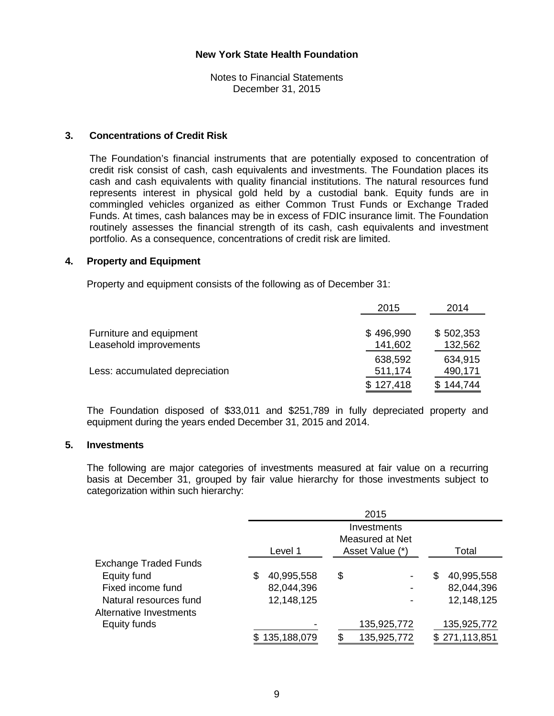Notes to Financial Statements December 31, 2015

#### **3. Concentrations of Credit Risk**

The Foundation's financial instruments that are potentially exposed to concentration of credit risk consist of cash, cash equivalents and investments. The Foundation places its cash and cash equivalents with quality financial institutions. The natural resources fund represents interest in physical gold held by a custodial bank. Equity funds are in commingled vehicles organized as either Common Trust Funds or Exchange Traded Funds. At times, cash balances may be in excess of FDIC insurance limit. The Foundation routinely assesses the financial strength of its cash, cash equivalents and investment portfolio. As a consequence, concentrations of credit risk are limited.

#### **4. Property and Equipment**

Property and equipment consists of the following as of December 31:

|                                | 2015      | 2014      |
|--------------------------------|-----------|-----------|
| Furniture and equipment        | \$496,990 | \$502,353 |
| Leasehold improvements         | 141,602   | 132,562   |
|                                | 638,592   | 634,915   |
| Less: accumulated depreciation | 511,174   | 490,171   |
|                                | \$127,418 | 144.744   |
|                                |           |           |

 The Foundation disposed of \$33,011 and \$251,789 in fully depreciated property and equipment during the years ended December 31, 2015 and 2014.

#### **5. Investments**

The following are major categories of investments measured at fair value on a recurring basis at December 31, grouped by fair value hierarchy for those investments subject to categorization within such hierarchy:

|                              |                  | 2015            |                  |  |  |  |
|------------------------------|------------------|-----------------|------------------|--|--|--|
|                              |                  | Investments     |                  |  |  |  |
|                              |                  | Measured at Net |                  |  |  |  |
|                              | Level 1          | Asset Value (*) | Total            |  |  |  |
| <b>Exchange Traded Funds</b> |                  |                 |                  |  |  |  |
| Equity fund                  | 40,995,558<br>\$ | \$              | 40,995,558<br>\$ |  |  |  |
| Fixed income fund            | 82,044,396       |                 | 82,044,396       |  |  |  |
| Natural resources fund       | 12,148,125       |                 | 12,148,125       |  |  |  |
| Alternative Investments      |                  |                 |                  |  |  |  |
| Equity funds                 |                  | 135,925,772     | 135,925,772      |  |  |  |
|                              | 135,188,079      | 135,925,772     | \$271,113,851    |  |  |  |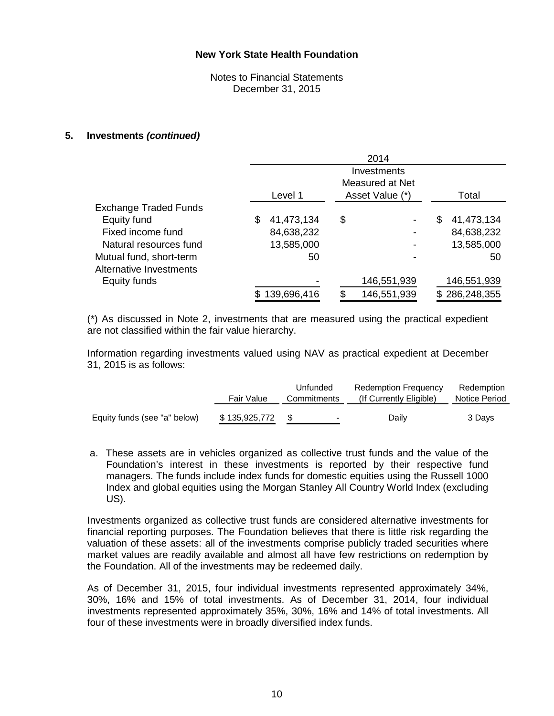Notes to Financial Statements December 31, 2015

#### **5. Investments** *(continued)*

|                              | 2014             |                 |                  |  |  |  |
|------------------------------|------------------|-----------------|------------------|--|--|--|
|                              |                  | Investments     |                  |  |  |  |
|                              |                  | Measured at Net |                  |  |  |  |
|                              | Level 1          | Asset Value (*) | Total            |  |  |  |
| <b>Exchange Traded Funds</b> |                  |                 |                  |  |  |  |
| Equity fund                  | 41,473,134<br>\$ | \$              | 41,473,134<br>\$ |  |  |  |
| Fixed income fund            | 84,638,232       |                 | 84,638,232       |  |  |  |
| Natural resources fund       | 13,585,000       |                 | 13,585,000       |  |  |  |
| Mutual fund, short-term      | 50               |                 | 50               |  |  |  |
| Alternative Investments      |                  |                 |                  |  |  |  |
| Equity funds                 |                  | 146,551,939     | 146,551,939      |  |  |  |
|                              | 139,696,416      | 146,551,939     | \$286,248,355    |  |  |  |

 (\*) As discussed in Note 2, investments that are measured using the practical expedient are not classified within the fair value hierarchy.

 Information regarding investments valued using NAV as practical expedient at December 31, 2015 is as follows:

|                              | Fair Value    | Unfunded<br>Commitments | <b>Redemption Frequency</b><br>(If Currently Eligible) | Redemption<br>Notice Period |
|------------------------------|---------------|-------------------------|--------------------------------------------------------|-----------------------------|
| Equity funds (see "a" below) | \$135,925,772 | $\blacksquare$          | Daily                                                  | 3 Days                      |

a. These assets are in vehicles organized as collective trust funds and the value of the Foundation's interest in these investments is reported by their respective fund managers. The funds include index funds for domestic equities using the Russell 1000 Index and global equities using the Morgan Stanley All Country World Index (excluding US).

Investments organized as collective trust funds are considered alternative investments for financial reporting purposes. The Foundation believes that there is little risk regarding the valuation of these assets: all of the investments comprise publicly traded securities where market values are readily available and almost all have few restrictions on redemption by the Foundation. All of the investments may be redeemed daily.

As of December 31, 2015, four individual investments represented approximately 34%, 30%, 16% and 15% of total investments. As of December 31, 2014, four individual investments represented approximately 35%, 30%, 16% and 14% of total investments. All four of these investments were in broadly diversified index funds.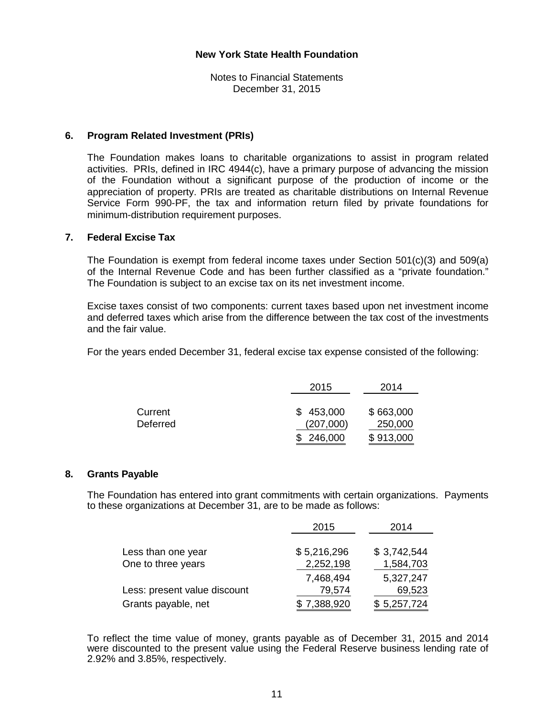Notes to Financial Statements December 31, 2015

#### **6. Program Related Investment (PRIs)**

The Foundation makes loans to charitable organizations to assist in program related activities. PRIs, defined in IRC 4944(c), have a primary purpose of advancing the mission of the Foundation without a significant purpose of the production of income or the appreciation of property. PRIs are treated as charitable distributions on Internal Revenue Service Form 990-PF, the tax and information return filed by private foundations for minimum-distribution requirement purposes.

#### **7. Federal Excise Tax**

 The Foundation is exempt from federal income taxes under Section 501(c)(3) and 509(a) of the Internal Revenue Code and has been further classified as a "private foundation." The Foundation is subject to an excise tax on its net investment income.

 Excise taxes consist of two components: current taxes based upon net investment income and deferred taxes which arise from the difference between the tax cost of the investments and the fair value.

For the years ended December 31, federal excise tax expense consisted of the following:

|          | 2015      | 2014      |  |
|----------|-----------|-----------|--|
|          |           |           |  |
| Current  | \$453,000 | \$663,000 |  |
| Deferred | (207,000) | 250,000   |  |
|          | \$246,000 | \$913,000 |  |

#### **8. Grants Payable**

 The Foundation has entered into grant commitments with certain organizations. Payments to these organizations at December 31, are to be made as follows:

|                              | 2015        | 2014        |
|------------------------------|-------------|-------------|
| Less than one year           | \$5,216,296 | \$3,742,544 |
| One to three years           | 2,252,198   | 1,584,703   |
|                              | 7,468,494   | 5,327,247   |
| Less: present value discount | 79,574      | 69,523      |
| Grants payable, net          | 7,388,920   | \$5,257,724 |

 To reflect the time value of money, grants payable as of December 31, 2015 and 2014 were discounted to the present value using the Federal Reserve business lending rate of 2.92% and 3.85%, respectively.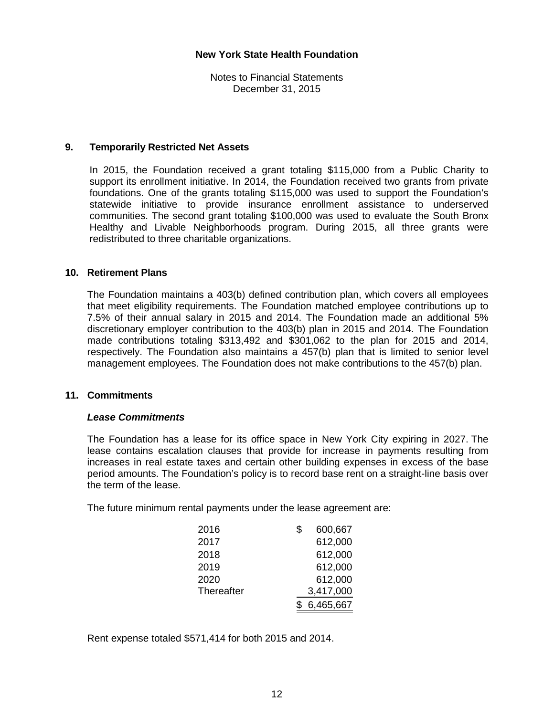Notes to Financial Statements December 31, 2015

#### **9. Temporarily Restricted Net Assets**

In 2015, the Foundation received a grant totaling \$115,000 from a Public Charity to support its enrollment initiative. In 2014, the Foundation received two grants from private foundations. One of the grants totaling \$115,000 was used to support the Foundation's statewide initiative to provide insurance enrollment assistance to underserved communities. The second grant totaling \$100,000 was used to evaluate the South Bronx Healthy and Livable Neighborhoods program. During 2015, all three grants were redistributed to three charitable organizations.

#### **10. Retirement Plans**

 The Foundation maintains a 403(b) defined contribution plan, which covers all employees that meet eligibility requirements. The Foundation matched employee contributions up to 7.5% of their annual salary in 2015 and 2014. The Foundation made an additional 5% discretionary employer contribution to the 403(b) plan in 2015 and 2014. The Foundation made contributions totaling \$313,492 and \$301,062 to the plan for 2015 and 2014, respectively. The Foundation also maintains a 457(b) plan that is limited to senior level management employees. The Foundation does not make contributions to the 457(b) plan.

#### **11. Commitments**

#### *Lease Commitments*

The Foundation has a lease for its office space in New York City expiring in 2027. The lease contains escalation clauses that provide for increase in payments resulting from increases in real estate taxes and certain other building expenses in excess of the base period amounts. The Foundation's policy is to record base rent on a straight-line basis over the term of the lease.

The future minimum rental payments under the lease agreement are:

| 2016       | \$<br>600,667 |
|------------|---------------|
| 2017       | 612,000       |
| 2018       | 612,000       |
| 2019       | 612,000       |
| 2020       | 612,000       |
| Thereafter | 3,417,000     |
|            | 6,465,667     |

Rent expense totaled \$571,414 for both 2015 and 2014.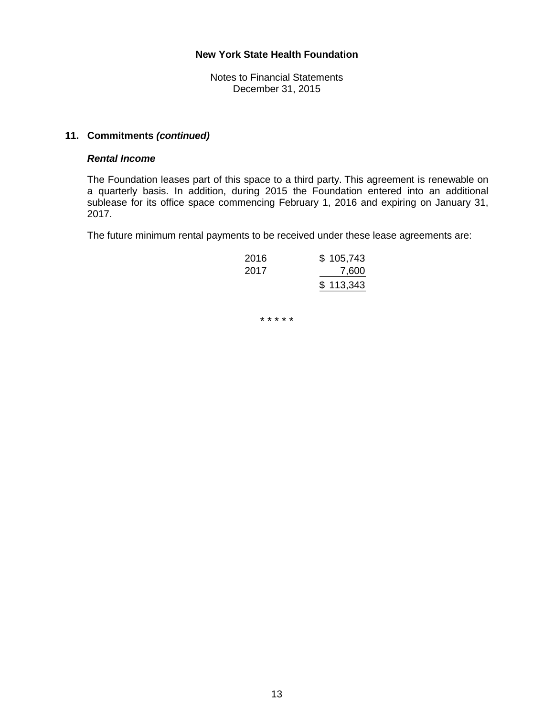Notes to Financial Statements December 31, 2015

## **11. Commitments** *(continued)*

#### *Rental Income*

The Foundation leases part of this space to a third party. This agreement is renewable on a quarterly basis. In addition, during 2015 the Foundation entered into an additional sublease for its office space commencing February 1, 2016 and expiring on January 31, 2017.

The future minimum rental payments to be received under these lease agreements are:

| 2016 | \$105,743 |
|------|-----------|
| 2017 | 7,600     |
|      | \$113,343 |

\* \* \* \* \*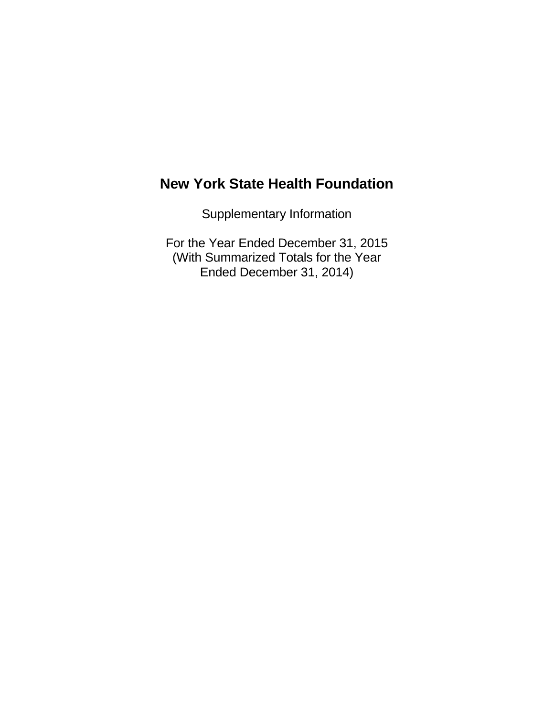Supplementary Information

For the Year Ended December 31, 2015 (With Summarized Totals for the Year Ended December 31, 2014)